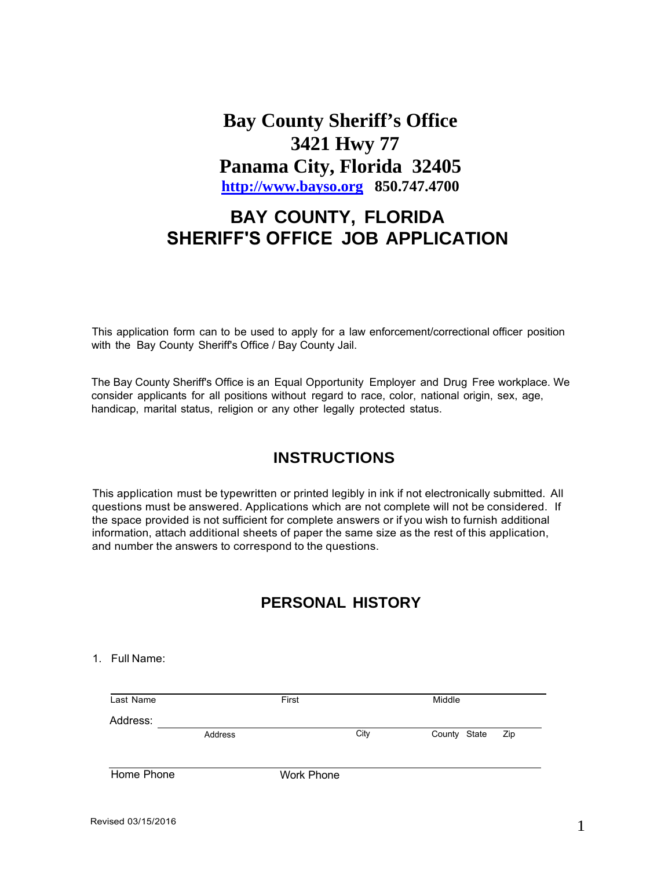**Bay County Sheriff's Office 3421 Hwy 77 Panama City, Florida 32405 [http://www.bayso.org](http://www.bayso.org/) 850.747.4700**

# **BAY COUNTY, FLORIDA SHERIFF'S OFFICE JOB APPLICATION**

This application form can to be used to apply for a law enforcement/correctional officer position with the Bay County Sheriff's Office / Bay County Jail.

The Bay County Sheriff's Office is an Equal Opportunity Employer and Drug Free workplace. We consider applicants for all positions without regard to race, color, national origin, sex, age, handicap, marital status, religion or any other legally protected status.

# **INSTRUCTIONS**

This application must be typewritten or printed legibly in ink if not electronically submitted. All questions must be answered. Applications which are not complete will not be considered. If the space provided is not sufficient for complete answers or if you wish to furnish additional information, attach additional sheets of paper the same size as the rest of this application, and number the answers to correspond to the questions.

# **PERSONAL HISTORY**

#### 1. Full Name:

| Last Name  |         | First             |      | Middle       |     |
|------------|---------|-------------------|------|--------------|-----|
| Address:   |         |                   |      |              |     |
|            | Address |                   | City | County State | Zip |
|            |         |                   |      |              |     |
| Home Phone |         | <b>Work Phone</b> |      |              |     |
|            |         |                   |      |              |     |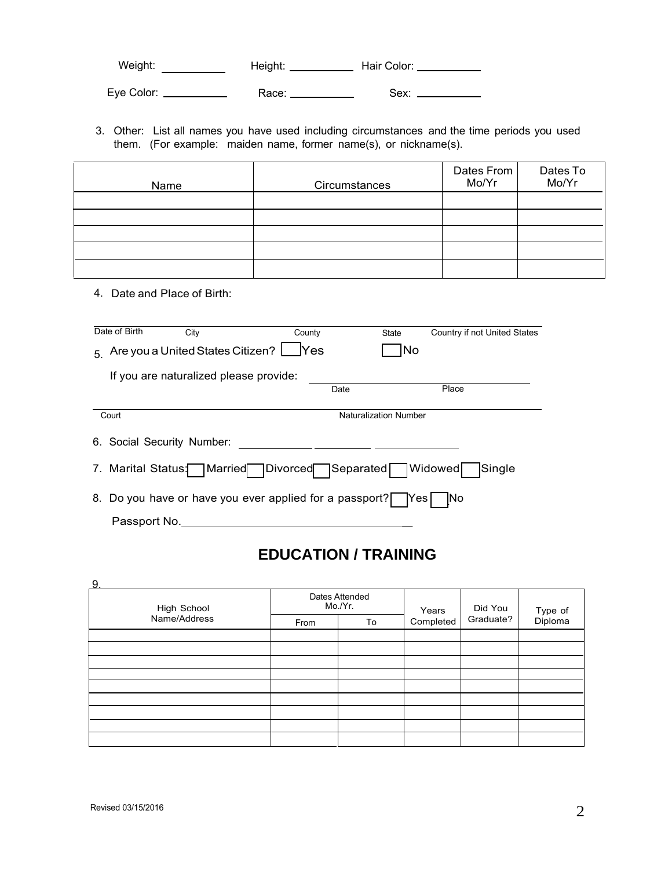Weight: Height: Hair Color: Eye Color: Race: Sex:

3. Other: List all names you have used including circumstances and the time periods you used them. (For example: maiden name, former name(s), or nickname(s).

| Name | Circumstances | Dates From<br>Mo/Yr | Dates To<br>Mo/Yr |
|------|---------------|---------------------|-------------------|
|      |               |                     |                   |
|      |               |                     |                   |
|      |               |                     |                   |
|      |               |                     |                   |
|      |               |                     |                   |

4. Date and Place of Birth:

| Date of Birth              | City                                      | County                                                  | State                        | Country if not United States |
|----------------------------|-------------------------------------------|---------------------------------------------------------|------------------------------|------------------------------|
|                            | 5 Are you a United States Citizen? $\Box$ | $\sqrt{}$ Yes                                           | <b>No</b>                    |                              |
|                            | If you are naturalized please provide:    |                                                         |                              |                              |
|                            |                                           | Date                                                    |                              | Place                        |
| Court                      |                                           |                                                         | <b>Naturalization Number</b> |                              |
| 6. Social Security Number: |                                           |                                                         |                              |                              |
|                            |                                           | 7. Marital Status: Married Divorced Separated           |                              | Widowed<br>Single            |
|                            |                                           | 8. Do you have or have you ever applied for a passport? | IYes I                       | INo.                         |
| Passport No.               |                                           |                                                         |                              |                              |

# **EDUCATION / TRAINING**

| 9.           |      |                           |                    |           |                    |
|--------------|------|---------------------------|--------------------|-----------|--------------------|
| High School  |      | Dates Attended<br>Mo./Yr. |                    | Did You   |                    |
| Name/Address | From | To                        | Years<br>Completed | Graduate? | Type of<br>Diploma |
|              |      |                           |                    |           |                    |
|              |      |                           |                    |           |                    |
|              |      |                           |                    |           |                    |
|              |      |                           |                    |           |                    |
|              |      |                           |                    |           |                    |
|              |      |                           |                    |           |                    |
|              |      |                           |                    |           |                    |
|              |      |                           |                    |           |                    |
|              |      |                           |                    |           |                    |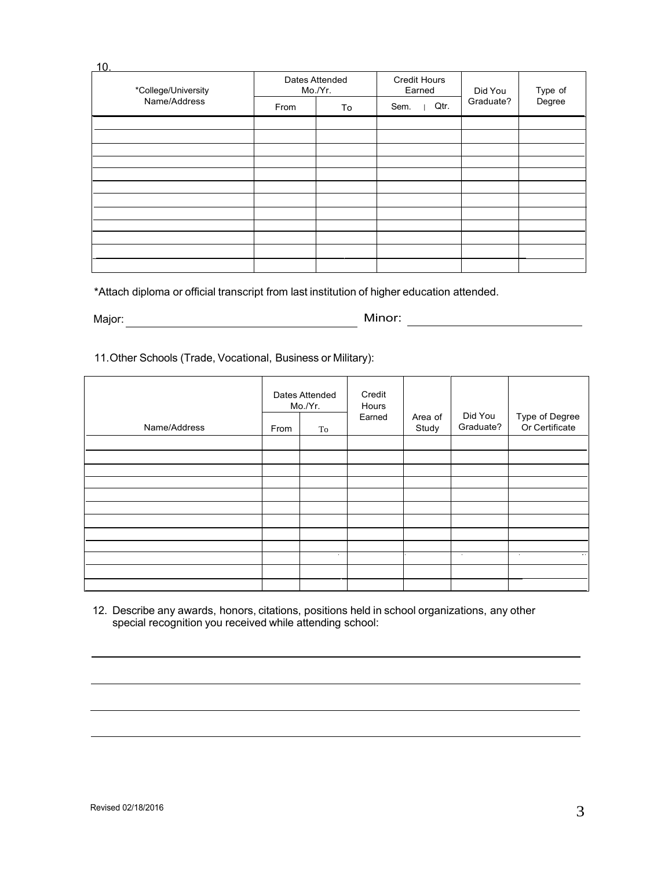| 10.                 |      |                           |                               |           |         |
|---------------------|------|---------------------------|-------------------------------|-----------|---------|
| *College/University |      | Dates Attended<br>Mo./Yr. | <b>Credit Hours</b><br>Earned | Did You   | Type of |
| Name/Address        | From | To                        | Sem.<br>Qtr.                  | Graduate? | Degree  |
|                     |      |                           |                               |           |         |
|                     |      |                           |                               |           |         |
|                     |      |                           |                               |           |         |
|                     |      |                           |                               |           |         |
|                     |      |                           |                               |           |         |
|                     |      |                           |                               |           |         |
|                     |      |                           |                               |           |         |
|                     |      |                           |                               |           |         |
|                     |      |                           |                               |           |         |
|                     |      |                           |                               |           |         |
|                     |      |                           |                               |           |         |
|                     |      |                           |                               |           |         |

\*Attach diploma or official transcript from last institution of higher education attended.

Major: **Mathematic Structure of the Contract Structure of the Contract Structure of the Contract Structure of the Contract Structure of the Contract Structure of the Contract Structure of the Contract Structure of the Cont** 

Minor:

11.Other Schools (Trade, Vocational, Businessor Military):

|              | Dates Attended<br>Mo./Yr. |        | Credit<br>Hours<br>Earned |       | Area of   | Did You                  | Type of Degree<br>Or Certificate |
|--------------|---------------------------|--------|---------------------------|-------|-----------|--------------------------|----------------------------------|
| Name/Address | From                      | To     |                           | Study | Graduate? |                          |                                  |
|              |                           |        |                           |       |           |                          |                                  |
|              |                           |        |                           |       |           |                          |                                  |
|              |                           |        |                           |       |           |                          |                                  |
|              |                           |        |                           |       |           |                          |                                  |
|              |                           |        |                           |       |           |                          |                                  |
|              |                           |        |                           |       |           |                          |                                  |
|              |                           |        |                           |       |           |                          |                                  |
|              |                           |        |                           |       |           |                          |                                  |
|              |                           |        |                           |       |           |                          |                                  |
|              |                           | $\sim$ |                           |       | $\sim$    | $\sim$<br>$\sim 10^{-1}$ |                                  |
|              |                           |        |                           |       |           |                          |                                  |
|              |                           |        |                           |       |           |                          |                                  |

12. Describe any awards, honors, citations, positions held in school organizations, any other special recognition you received while attending school: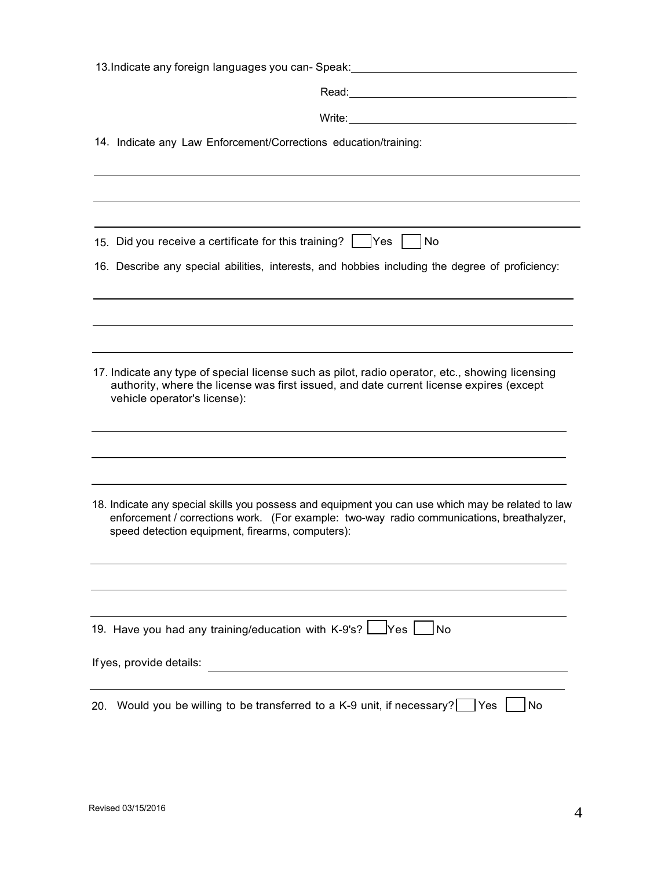| 13. Indicate any foreign languages you can-Speak:                                                                                                                                                                                                  |
|----------------------------------------------------------------------------------------------------------------------------------------------------------------------------------------------------------------------------------------------------|
|                                                                                                                                                                                                                                                    |
| Write:                                                                                                                                                                                                                                             |
| 14. Indicate any Law Enforcement/Corrections education/training:                                                                                                                                                                                   |
|                                                                                                                                                                                                                                                    |
| 15. Did you receive a certificate for this training? $\vert$   Yes     No                                                                                                                                                                          |
| 16. Describe any special abilities, interests, and hobbies including the degree of proficiency:                                                                                                                                                    |
|                                                                                                                                                                                                                                                    |
|                                                                                                                                                                                                                                                    |
| 17. Indicate any type of special license such as pilot, radio operator, etc., showing licensing<br>authority, where the license was first issued, and date current license expires (except<br>vehicle operator's license):                         |
|                                                                                                                                                                                                                                                    |
| 18. Indicate any special skills you possess and equipment you can use which may be related to law<br>enforcement / corrections work. (For example: two-way radio communications, breathalyzer,<br>speed detection equipment, firearms, computers): |
|                                                                                                                                                                                                                                                    |
| 19. Have you had any training/education with K-9's? Leves [<br>No                                                                                                                                                                                  |
| If yes, provide details:<br><u> 1989 - John Stein, mars and de Brazilian (b. 1989)</u>                                                                                                                                                             |
| Would you be willing to be transferred to a K-9 unit, if necessary?   Yes<br>No<br>20.                                                                                                                                                             |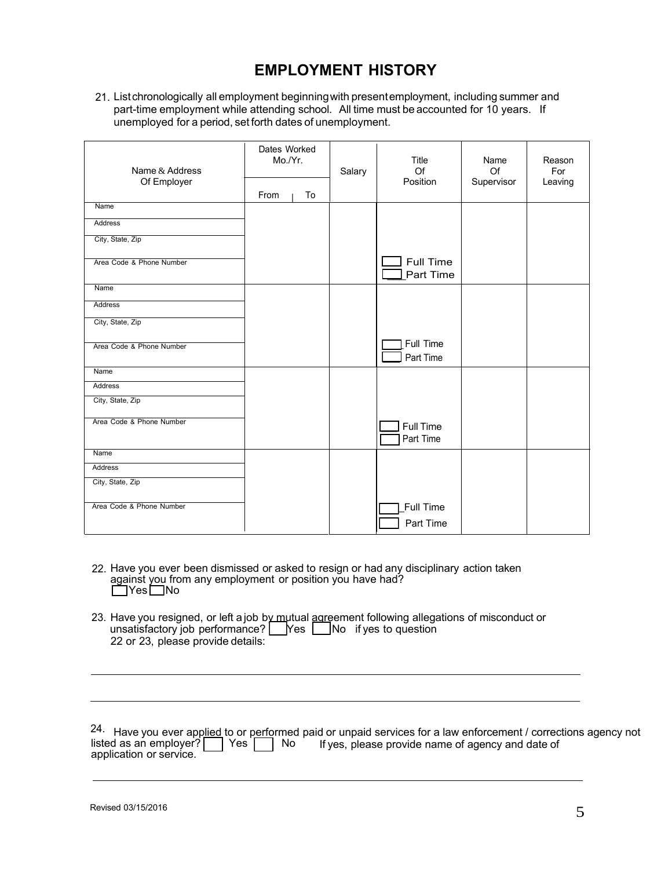# **EMPLOYMENT HISTORY**

21. List chronologically all employment beginning with present employment, including summer and part-time employment while attending school. All time must be accounted for 10 years. If unemployed for a period, set forth dates of unemployment.

| Name & Address<br>Of Employer | Dates Worked<br>Mo./Yr.<br>From<br>To | Salary | Title<br>Of<br>Position       | Name<br>Of<br>Supervisor | Reason<br>For<br>Leaving |
|-------------------------------|---------------------------------------|--------|-------------------------------|--------------------------|--------------------------|
| Name                          |                                       |        |                               |                          |                          |
| <b>Address</b>                |                                       |        |                               |                          |                          |
| City, State, Zip              |                                       |        |                               |                          |                          |
| Area Code & Phone Number      |                                       |        | <b>Full Time</b><br>Part Time |                          |                          |
| Name                          |                                       |        |                               |                          |                          |
| Address                       |                                       |        |                               |                          |                          |
| City, State, Zip              |                                       |        |                               |                          |                          |
| Area Code & Phone Number      |                                       |        | Full Time<br>Part Time        |                          |                          |
| Name                          |                                       |        |                               |                          |                          |
| Address                       |                                       |        |                               |                          |                          |
| City, State, Zip              |                                       |        |                               |                          |                          |
| Area Code & Phone Number      |                                       |        | <b>Full Time</b>              |                          |                          |
|                               |                                       |        | Part Time                     |                          |                          |
| Name                          |                                       |        |                               |                          |                          |
| Address                       |                                       |        |                               |                          |                          |
| City, State, Zip              |                                       |        |                               |                          |                          |
| Area Code & Phone Number      |                                       |        | Full Time<br>Part Time        |                          |                          |

- 22. Have you ever been dismissed or asked to resign or had any disciplinary action taken against you from any employment or position you have had? **□Yes** ■No
- 23. Have you resigned, or left a job by mutual agreement following allegations of misconduct or unsatisfactory job performance?  $\Box$  Yes  $\Box$  No if yes to question 22 or 23, please provide details:

| 24. Have you ever applied to or performed paid or unpaid services for a law enforcement / corrections agency not |  |  |  |  |
|------------------------------------------------------------------------------------------------------------------|--|--|--|--|
| listed as an employer? $\Box$ Yes $\Box$ No If yes, please provide name of agency and date of                    |  |  |  |  |
| application or service.                                                                                          |  |  |  |  |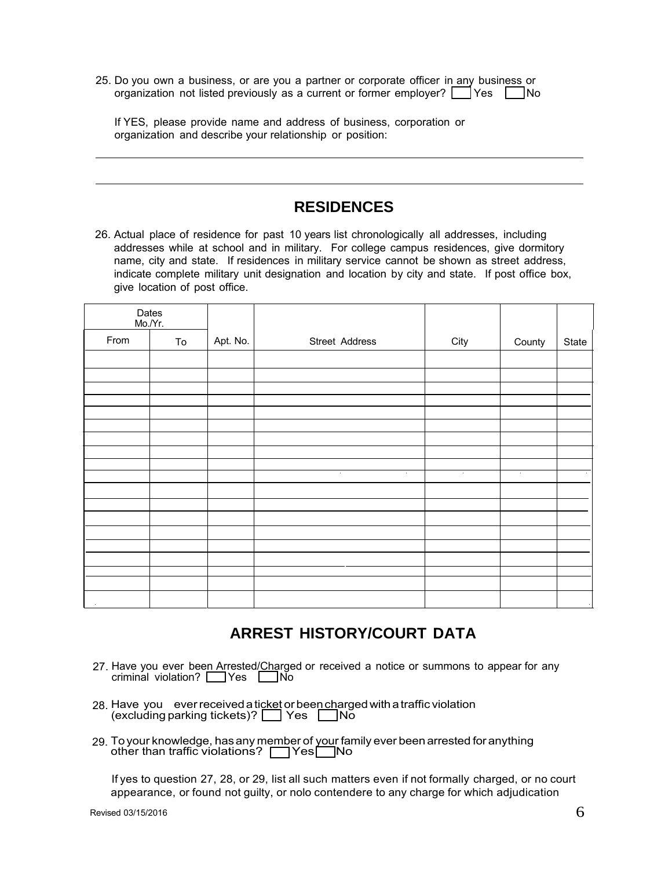| 25. Do you own a business, or are you a partner or corporate officer in any business or  |  |  |  |  |
|------------------------------------------------------------------------------------------|--|--|--|--|
| organization not listed previously as a current or former employer? $\Box$ Yes $\Box$ No |  |  |  |  |

If YES, please provide name and address of business, corporation or organization and describe your relationship or position:

#### **RESIDENCES**

26. Actual place of residence for past 10 years list chronologically all addresses, including addresses while at school and in military. For college campus residences, give dormitory name, city and state. If residences in military service cannot be shown as street address, indicate complete military unit designation and location by city and state. If post office box, give location of post office.

| Mo./Yr. | Dates |          |                                                      |                          |                          |           |
|---------|-------|----------|------------------------------------------------------|--------------------------|--------------------------|-----------|
| From    | To    | Apt. No. | Street Address                                       | City                     | County                   | State     |
|         |       |          |                                                      |                          |                          |           |
|         |       |          |                                                      |                          |                          |           |
|         |       |          |                                                      |                          |                          |           |
|         |       |          |                                                      |                          |                          |           |
|         |       |          |                                                      |                          |                          |           |
|         |       |          |                                                      |                          |                          |           |
|         |       |          |                                                      |                          |                          |           |
|         |       |          |                                                      |                          |                          |           |
|         |       |          |                                                      |                          |                          |           |
|         |       |          | $\overline{\phantom{a}}$<br>$\overline{\phantom{a}}$ | $\overline{\phantom{a}}$ | $\overline{\phantom{a}}$ |           |
|         |       |          |                                                      |                          |                          |           |
|         |       |          |                                                      |                          |                          |           |
|         |       |          |                                                      |                          |                          |           |
|         |       |          |                                                      |                          |                          |           |
|         |       |          |                                                      |                          |                          |           |
|         |       |          |                                                      |                          |                          |           |
|         |       |          |                                                      |                          |                          |           |
|         |       |          |                                                      |                          |                          |           |
| $\sim$  |       |          |                                                      |                          |                          | $\bullet$ |

# **ARREST HISTORY/COURT DATA**

- 27. Have you ever bee<u>n Ar</u>rested/<u>Cha</u>rged or received a notice or summons to appear for any criminal violation? Nes Louid
- 28. Have you ever received a ticket or bee<u>n ch</u>arged with a traffic violation (excluding parking tickets)? █████ Yes ███No
- 29. To your knowledge, has any member of your family ever been arrested for anything other than traffic violations? **The Yes** No

If yes to question 27, 28, or 29, list all such matters even if not formally charged, or no court appearance, or found not guilty, or nolo contendere to any charge for which adjudication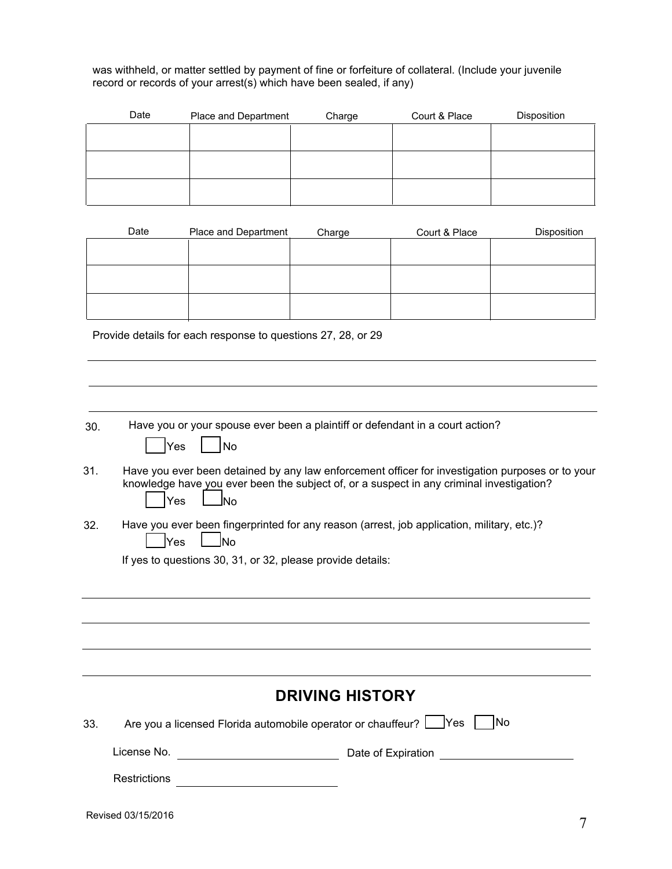was withheld, or matter settled by payment of fine or forfeiture of collateral. (Include your juvenile record or records of your arrest(s) which have been sealed, if any)

| Date | Place and Department | Charge | Court & Place | Disposition |
|------|----------------------|--------|---------------|-------------|
|      |                      |        |               |             |
|      |                      |        |               |             |
|      |                      |        |               |             |
|      |                      |        |               |             |
|      |                      |        |               |             |
|      |                      |        |               |             |

| Date | Place and Department | Charge | Court & Place | <b>Disposition</b> |
|------|----------------------|--------|---------------|--------------------|
|      |                      |        |               |                    |
|      |                      |        |               |                    |
|      |                      |        |               |                    |
|      |                      |        |               |                    |
|      |                      |        |               |                    |
|      |                      |        |               |                    |

Provide details for each response to questions 27, 28, or 29

| 30. | Have you or your spouse ever been a plaintiff or defendant in a court action?<br>No<br>Yes                                                                                                                       |
|-----|------------------------------------------------------------------------------------------------------------------------------------------------------------------------------------------------------------------|
| 31. | Have you ever been detained by any law enforcement officer for investigation purposes or to your<br>knowledge have you ever been the subject of, or a suspect in any criminal investigation?<br>Yes<br><b>No</b> |
| 32. | Have you ever been fingerprinted for any reason (arrest, job application, military, etc.)?<br><b>No</b><br>Yes                                                                                                   |
|     | If yes to questions 30, 31, or 32, please provide details:                                                                                                                                                       |
|     |                                                                                                                                                                                                                  |
|     |                                                                                                                                                                                                                  |
|     |                                                                                                                                                                                                                  |
|     |                                                                                                                                                                                                                  |
|     | <b>DRIVING HISTORY</b>                                                                                                                                                                                           |
| 33. | Are you a licensed Florida automobile operator or chauffeur?   Yes<br><b>INo</b>                                                                                                                                 |
|     | License No.<br>Date of Expiration                                                                                                                                                                                |
|     | <b>Restrictions</b>                                                                                                                                                                                              |
|     |                                                                                                                                                                                                                  |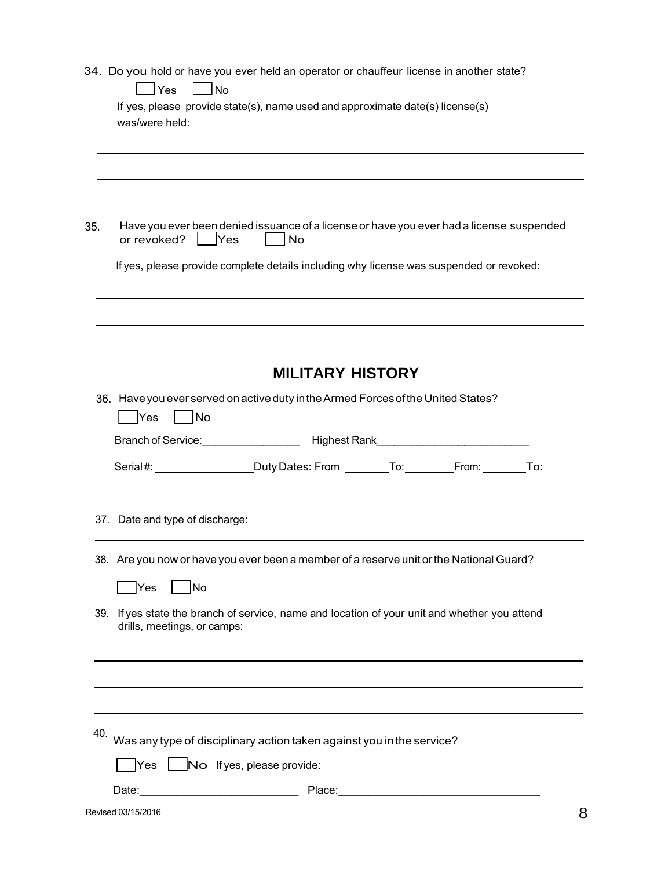|  |  |  |  |  | 34. Do you hold or have you ever held an operator or chauffeur license in another state? |  |
|--|--|--|--|--|------------------------------------------------------------------------------------------|--|
|--|--|--|--|--|------------------------------------------------------------------------------------------|--|

|     | lYes<br>l No<br>If yes, please provide state(s), name used and approximate date(s) license(s)<br>was/were held:              |
|-----|------------------------------------------------------------------------------------------------------------------------------|
|     |                                                                                                                              |
| 35. | Have you ever been denied issuance of a license or have you ever had a license suspended<br>or revoked?   Yes<br> No         |
|     | If yes, please provide complete details including why license was suspended or revoked:                                      |
|     |                                                                                                                              |
|     | <b>MILITARY HISTORY</b>                                                                                                      |
|     | 36. Have you ever served on active duty in the Armed Forces of the United States?<br>│ No<br>Yes                             |
|     |                                                                                                                              |
|     | Serial#: __________________DutyDates: From _________To: _________From: ________To:                                           |
|     | 37. Date and type of discharge:                                                                                              |
|     | 38. Are you now or have you ever been a member of a reserve unit or the National Guard?                                      |
|     | <b>INo</b><br>Yes                                                                                                            |
|     | 39. If yes state the branch of service, name and location of your unit and whether you attend<br>drills, meetings, or camps: |
|     |                                                                                                                              |
|     |                                                                                                                              |
| 40. | Was any type of disciplinary action taken against you in the service?                                                        |
|     | $\gamma$ es $\Box$ No Ifyes, please provide:                                                                                 |
|     | Date:<br>Place:                                                                                                              |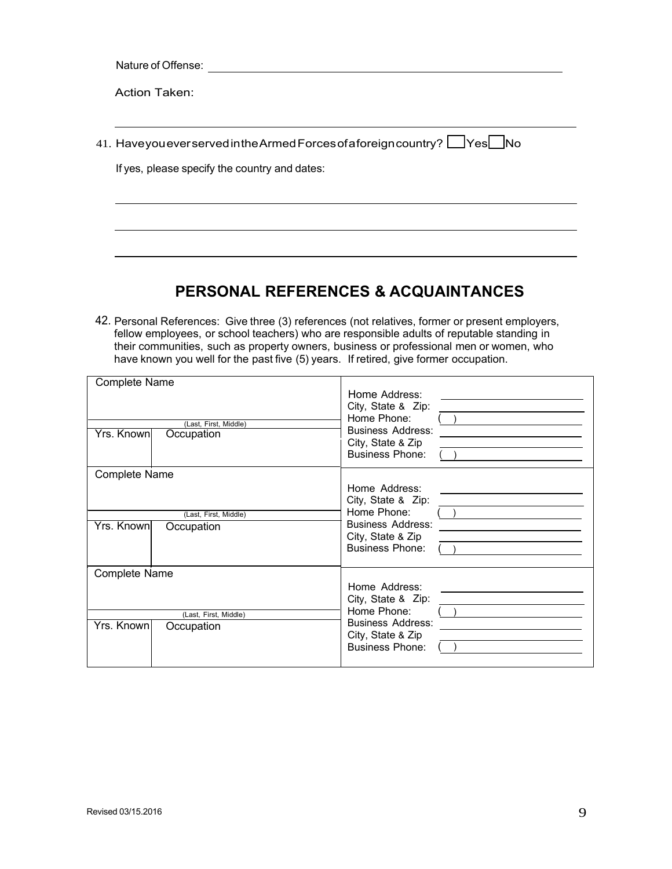Nature of Offense: experience of  $\alpha$ 

Action Taken:

| 41. HaveyoueverservedintheArmedForcesofaforeigncountry? □Yes□No |  |
|-----------------------------------------------------------------|--|

If yes, please specify the country and dates:

# **PERSONAL REFERENCES & ACQUAINTANCES**

42. Personal References: Give three (3) references (not relatives, former or present employers, fellow employees, or school teachers) who are responsible adults of reputable standing in their communities, such as property owners, business or professional men or women, who have known you well for the past five (5) years. If retired, give former occupation.

| <b>Complete Name</b><br>(Last, First, Middle)<br>Yrs. Known<br>Occupation | Home Address:<br>City, State & Zip:<br>Home Phone:<br><b>Business Address:</b><br>City, State & Zip<br><b>Business Phone:</b> |
|---------------------------------------------------------------------------|-------------------------------------------------------------------------------------------------------------------------------|
| <b>Complete Name</b>                                                      |                                                                                                                               |
| (Last, First, Middle)<br>Yrs. Known<br>Occupation                         | Home Address:<br>City, State & Zip:<br>Home Phone:<br><b>Business Address:</b><br>City, State & Zip<br><b>Business Phone:</b> |
| <b>Complete Name</b>                                                      |                                                                                                                               |
| (Last, First, Middle)<br>Yrs. Known<br>Occupation                         | Home Address:<br>City, State & Zip:<br>Home Phone:<br><b>Business Address:</b><br>City, State & Zip<br><b>Business Phone:</b> |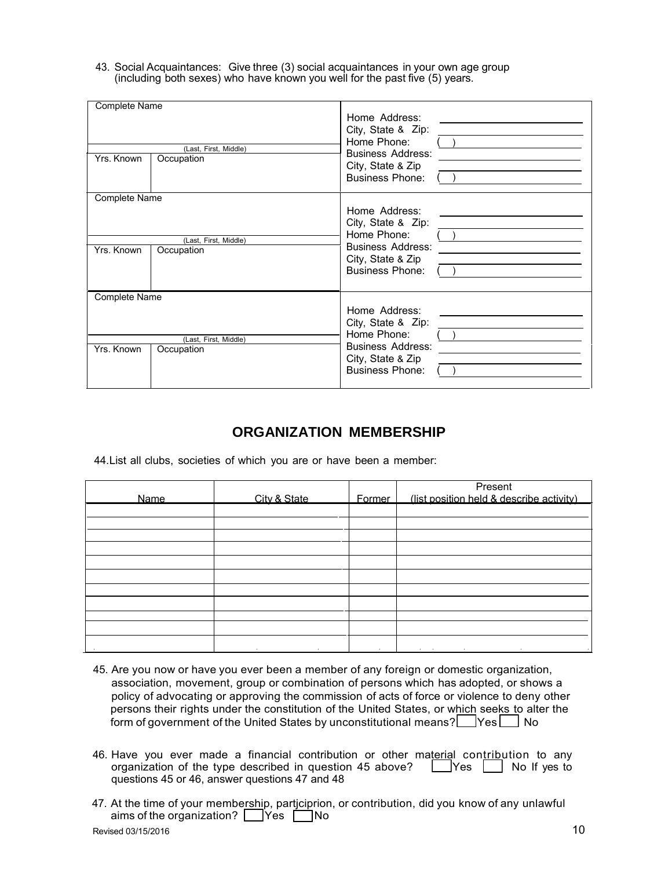43. Social Acquaintances: Givethree (3) social acquaintances in your own age group (including both sexes) who have known you well for the past five (5) years.

| <b>Complete Name</b> |                                     |                                                                                                                               |
|----------------------|-------------------------------------|-------------------------------------------------------------------------------------------------------------------------------|
| Yrs. Known           | (Last, First, Middle)<br>Occupation | Home Address:<br>City, State & Zip:<br>Home Phone:<br><b>Business Address:</b><br>City, State & Zip<br><b>Business Phone:</b> |
| Complete Name        |                                     |                                                                                                                               |
| Yrs. Known           | (Last, First, Middle)<br>Occupation | Home Address:<br>City, State & Zip:<br>Home Phone:<br><b>Business Address:</b><br>City, State & Zip<br><b>Business Phone:</b> |
| <b>Complete Name</b> |                                     |                                                                                                                               |
| Yrs. Known           | (Last, First, Middle)<br>Occupation | Home Address:<br>City, State & Zip:<br>Home Phone:<br><b>Business Address:</b><br>City, State & Zip<br><b>Business Phone:</b> |

#### **ORGANIZATION MEMBERSHIP**

44.List all clubs, societies of which you are or have been a member:

| Name   | City & State        | Former | Present<br>(list position held & describe activity)                                 |
|--------|---------------------|--------|-------------------------------------------------------------------------------------|
|        |                     |        |                                                                                     |
|        |                     |        |                                                                                     |
|        |                     |        |                                                                                     |
|        |                     |        |                                                                                     |
|        |                     |        |                                                                                     |
|        |                     |        |                                                                                     |
|        |                     |        |                                                                                     |
|        |                     |        |                                                                                     |
|        |                     |        |                                                                                     |
|        |                     |        |                                                                                     |
| $\sim$ | $\sim$<br>$\bullet$ | $\sim$ | $\sim$<br>the contract of the contract of the contract of the contract of<br>$\sim$ |

- 45. Are you now or have you ever been a member of any foreign or domestic organization, association, movement, group or combination of persons which has adopted, or shows a policy of advocating or approving the commission of acts of force or violence to deny other persons their rights under the constitution of the United States, or which seeks to alter the form of government of the United States by unconstitutional means? **Wes No**
- 46. Have you ever made a financial contribution or other material contribution to any organization of the type described in question 45 above?  $\Box$  Yes  $\Box$  No If yes to questions 45 or 46, answer questions 47 and 48
- 47. At the time of your membership, participrion, or contribution, did you know of any unlawful aims of the organization?  $\Box$  Yes  $\Box$  No  $\alpha$  Revised 03/15/2016 10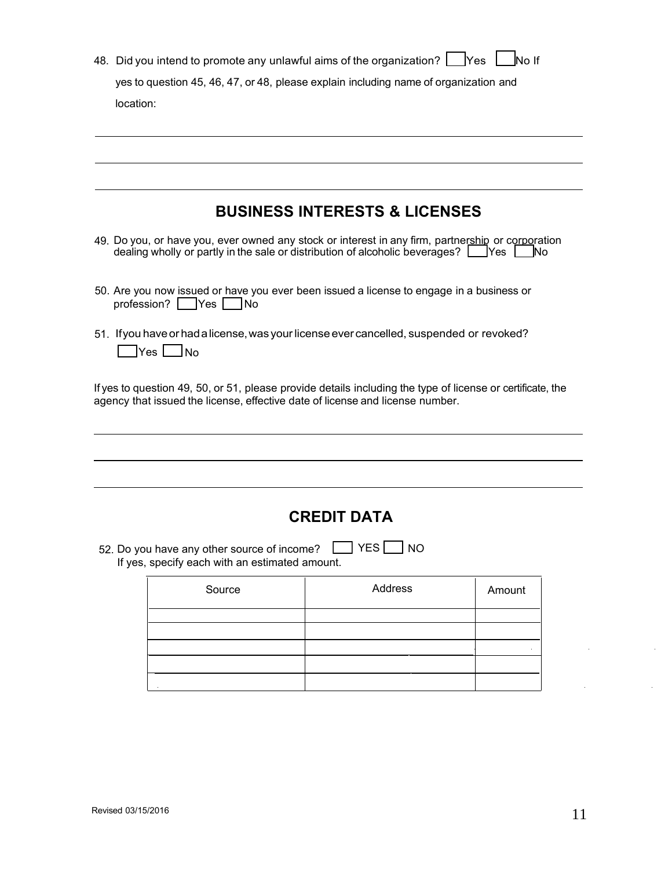| 48. Did you intend to promote any unlawful aims of the organization? Nes No If       |
|--------------------------------------------------------------------------------------|
| yes to question 45, 46, 47, or 48, please explain including name of organization and |
| location:                                                                            |
|                                                                                      |

## **BUSINESS INTERESTS & LICENSES**

- 49. Do you, or have you, ever owned any stock or interest in any firm, partnership or corporation dealing wholly or partly in the sale or distribution of alcoholic beverages?  $\Box$  Yes  $\Box$  No
- 50. Are you now issued or have you ever been issued a license to engage in a business or profession? **Yes** No
- 51. Ifyouhaveorhada license,was yourlicenseever cancelled, suspended or revoked?  $\Box$ Yes  $\Box$ No

If yes to question 49, 50, or 51, please provide details including the type of license or certificate, the agency that issued the license, effective date of license and license number.

### **CREDIT DATA**

52. Do you have any other source of income?  $\boxed{\phantom{a}}$  YES  $\boxed{\phantom{a}}$  NO If yes, specify each with an estimated amount.

| Source | Address | Amount |
|--------|---------|--------|
|        |         |        |
|        |         |        |
|        |         |        |
|        |         |        |
|        |         |        |